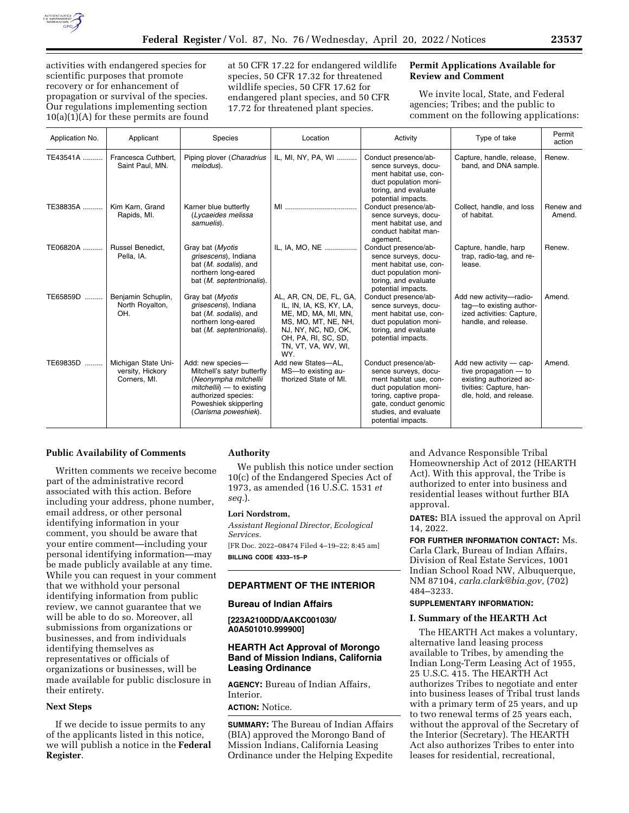

activities with endangered species for scientific purposes that promote recovery or for enhancement of propagation or survival of the species. Our regulations implementing section  $10(a)(1)(A)$  for these permits are found at 50 CFR 17.22 for endangered wildlife species, 50 CFR 17.32 for threatened wildlife species, 50 CFR 17.62 for endangered plant species, and 50 CFR 17.72 for threatened plant species.

### **Permit Applications Available for Review and Comment**

We invite local, State, and Federal agencies; Tribes; and the public to comment on the following applications:

| Application No. | Applicant                                               | Species                                                                                                                                                                         | Location                                                                                                                                                                     | Activity                                                                                                                                                                                          | Type of take                                                                                                                        | Permit<br>action    |
|-----------------|---------------------------------------------------------|---------------------------------------------------------------------------------------------------------------------------------------------------------------------------------|------------------------------------------------------------------------------------------------------------------------------------------------------------------------------|---------------------------------------------------------------------------------------------------------------------------------------------------------------------------------------------------|-------------------------------------------------------------------------------------------------------------------------------------|---------------------|
| TE43541A        | Francesca Cuthbert.<br>Saint Paul, MN.                  | Piping plover (Charadrius<br>melodus).                                                                                                                                          | IL, MI, NY, PA, WI                                                                                                                                                           | Conduct presence/ab-<br>sence surveys, docu-<br>ment habitat use, con-<br>duct population moni-<br>toring, and evaluate<br>potential impacts.                                                     | Capture, handle, release,<br>band, and DNA sample.                                                                                  | Renew.              |
| TE38835A        | Kim Karn, Grand<br>Rapids, MI.                          | Karner blue butterfly<br>(Lycaeides melissa<br>samuelis).                                                                                                                       |                                                                                                                                                                              | Conduct presence/ab-<br>sence surveys, docu-<br>ment habitat use, and<br>conduct habitat man-<br>agement.                                                                                         | Collect, handle, and loss<br>of habitat.                                                                                            | Renew and<br>Amend. |
| TE06820A        | Russel Benedict,<br>Pella, IA.                          | Gray bat (Myotis<br>grisescens), Indiana<br>bat (M. sodalis), and<br>northern long-eared<br>bat (M. septentrionalis).                                                           | IL, IA, MO, NE                                                                                                                                                               | Conduct presence/ab-<br>sence surveys, docu-<br>ment habitat use, con-<br>duct population moni-<br>toring, and evaluate<br>potential impacts.                                                     | Capture, handle, harp<br>trap, radio-tag, and re-<br>lease.                                                                         | Renew.              |
| TE65859D        | Benjamin Schuplin,<br>North Royalton,<br>OH.            | Gray bat (Myotis<br>grisescens), Indiana<br>bat (M. sodalis), and<br>northern long-eared<br>bat (M. septentrionalis).                                                           | AL, AR, CN, DE, FL, GA,<br>IL, IN, IA, KS, KY, LA,<br>ME, MD, MA, MI, MN,<br>MS, MO, MT, NE, NH,<br>NJ, NY, NC, ND, OK,<br>OH, PA, RI, SC, SD,<br>TN, VT, VA, WV, WI,<br>WY. | Conduct presence/ab-<br>sence surveys, docu-<br>ment habitat use, con-<br>duct population moni-<br>toring, and evaluate<br>potential impacts.                                                     | Add new activity-radio-<br>tag-to existing author-<br>ized activities: Capture,<br>handle, and release.                             | Amend.              |
| TE69835D        | Michigan State Uni-<br>versity, Hickory<br>Corners, MI. | Add: new species-<br>Mitchell's satyr butterfly<br>(Neonympha mitchellii<br>$mitchelli$ ) — to existing<br>authorized species:<br>Poweshiek skipperling<br>(Oarisma poweshiek). | Add new States-AL,<br>MS-to existing au-<br>thorized State of MI.                                                                                                            | Conduct presence/ab-<br>sence surveys, docu-<br>ment habitat use, con-<br>duct population moni-<br>toring, captive propa-<br>gate, conduct genomic<br>studies, and evaluate<br>potential impacts. | Add new activity - cap-<br>tive propagation $-$ to<br>existing authorized ac-<br>tivities: Capture, han-<br>dle, hold, and release. | Amend.              |

### **Public Availability of Comments**

Written comments we receive become part of the administrative record associated with this action. Before including your address, phone number, email address, or other personal identifying information in your comment, you should be aware that your entire comment—including your personal identifying information—may be made publicly available at any time. While you can request in your comment that we withhold your personal identifying information from public review, we cannot guarantee that we will be able to do so. Moreover, all submissions from organizations or businesses, and from individuals identifying themselves as representatives or officials of organizations or businesses, will be made available for public disclosure in their entirety.

# **Next Steps**

If we decide to issue permits to any of the applicants listed in this notice, we will publish a notice in the **Federal Register**.

# **Authority**

We publish this notice under section 10(c) of the Endangered Species Act of 1973, as amended (16 U.S.C. 1531 *et seq.*).

#### **Lori Nordstrom,**

*Assistant Regional Director, Ecological Services.* 

[FR Doc. 2022–08474 Filed 4–19–22; 8:45 am] **BILLING CODE 4333–15–P** 

#### **DEPARTMENT OF THE INTERIOR**

#### **Bureau of Indian Affairs**

**[223A2100DD/AAKC001030/ A0A501010.999900]** 

### **HEARTH Act Approval of Morongo Band of Mission Indians, California Leasing Ordinance**

**AGENCY:** Bureau of Indian Affairs, Interior. **ACTION:** Notice.

**SUMMARY:** The Bureau of Indian Affairs (BIA) approved the Morongo Band of Mission Indians, California Leasing Ordinance under the Helping Expedite

and Advance Responsible Tribal Homeownership Act of 2012 (HEARTH Act). With this approval, the Tribe is authorized to enter into business and residential leases without further BIA approval.

**DATES:** BIA issued the approval on April 14, 2022.

**FOR FURTHER INFORMATION CONTACT:** Ms. Carla Clark, Bureau of Indian Affairs, Division of Real Estate Services, 1001 Indian School Road NW, Albuquerque, NM 87104, *[carla.clark@bia.gov,](mailto:carla.clark@bia.gov)* (702) 484–3233.

## **SUPPLEMENTARY INFORMATION:**

### **I. Summary of the HEARTH Act**

The HEARTH Act makes a voluntary, alternative land leasing process available to Tribes, by amending the Indian Long-Term Leasing Act of 1955, 25 U.S.C. 415. The HEARTH Act authorizes Tribes to negotiate and enter into business leases of Tribal trust lands with a primary term of 25 years, and up to two renewal terms of 25 years each, without the approval of the Secretary of the Interior (Secretary). The HEARTH Act also authorizes Tribes to enter into leases for residential, recreational,